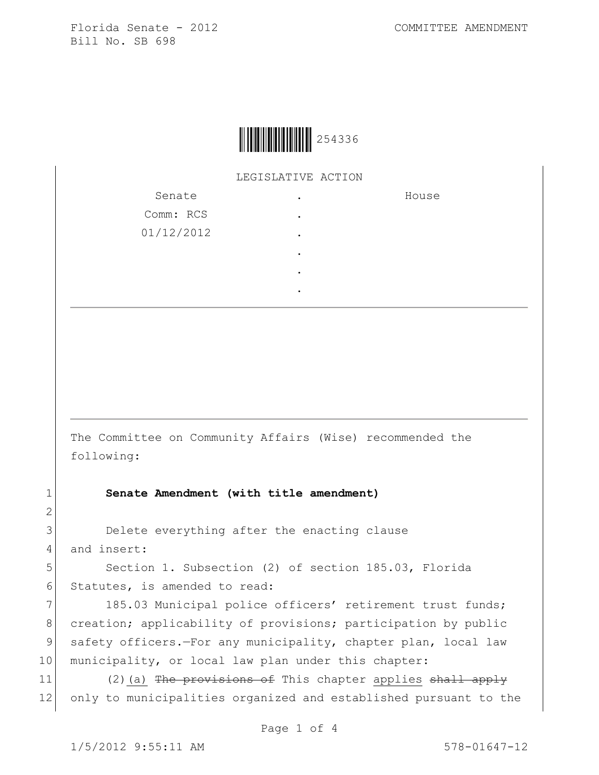

LEGISLATIVE ACTION

| Senate     | ٠ | House |
|------------|---|-------|
| Comm: RCS  | ٠ |       |
| 01/12/2012 | ٠ |       |
|            |   |       |
|            | ٠ |       |
|            |   |       |

The Committee on Community Affairs (Wise) recommended the following:

1 **Senate Amendment (with title amendment)**

3 Delete everything after the enacting clause 4 and insert:

5 Section 1. Subsection (2) of section 185.03, Florida 6 Statutes, is amended to read:

7 185.03 Municipal police officers' retirement trust funds; 8 creation; applicability of provisions; participation by public 9 safety officers.—For any municipality, chapter plan, local law 10 municipality, or local law plan under this chapter:

11  $(2)(a)$  The provisions of This chapter applies shall apply 12 only to municipalities organized and established pursuant to the

2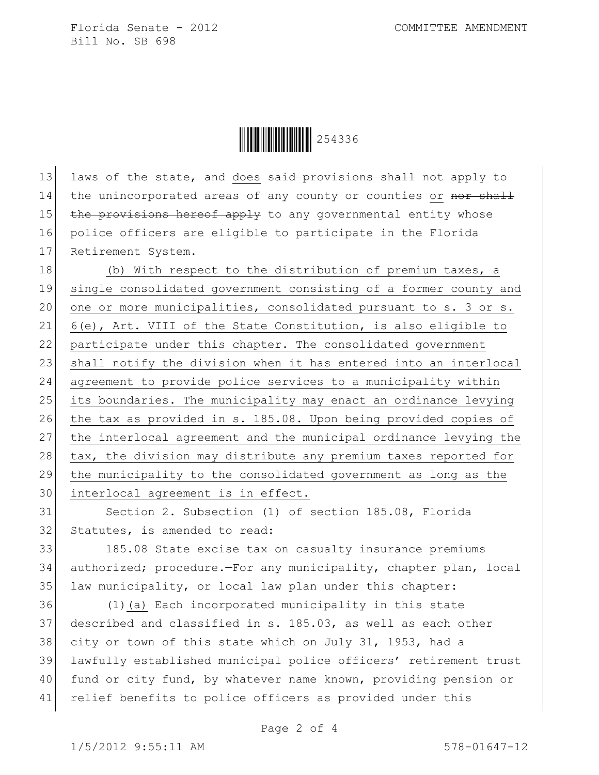Florida Senate - 2012 COMMITTEE AMENDMENT Bill No. SB 698



13 laws of the state, and does said provisions shall not apply to 14 the unincorporated areas of any county or counties or nor shall 15 the provisions hereof apply to any governmental entity whose 16 police officers are eligible to participate in the Florida 17 Retirement System.

18 (b) With respect to the distribution of premium taxes, a 19 single consolidated government consisting of a former county and 20 one or more municipalities, consolidated pursuant to s. 3 or s. 21 6(e), Art. VIII of the State Constitution, is also eligible to 22 participate under this chapter. The consolidated government 23 shall notify the division when it has entered into an interlocal 24 agreement to provide police services to a municipality within 25 its boundaries. The municipality may enact an ordinance levying 26 the tax as provided in s. 185.08. Upon being provided copies of 27 the interlocal agreement and the municipal ordinance levying the 28 tax, the division may distribute any premium taxes reported for 29 the municipality to the consolidated government as long as the 30 interlocal agreement is in effect.

31 Section 2. Subsection (1) of section 185.08, Florida 32 Statutes, is amended to read:

33 185.08 State excise tax on casualty insurance premiums 34 authorized; procedure.—For any municipality, chapter plan, local 35 law municipality, or local law plan under this chapter:

 (1)(a) Each incorporated municipality in this state described and classified in s. 185.03, as well as each other 38 city or town of this state which on July 31, 1953, had a lawfully established municipal police officers' retirement trust fund or city fund, by whatever name known, providing pension or relief benefits to police officers as provided under this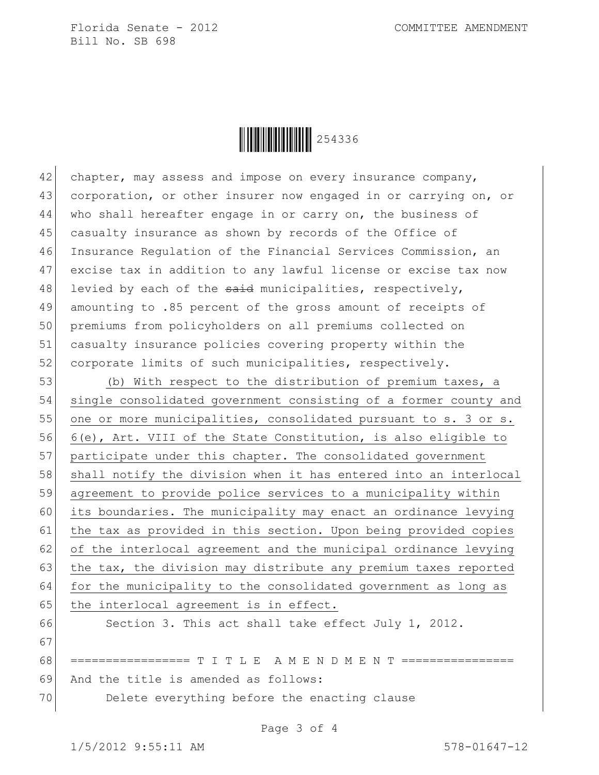Florida Senate - 2012 COMMITTEE AMENDMENT Bill No. SB 698



42 chapter, may assess and impose on every insurance company, 43 corporation, or other insurer now engaged in or carrying on, or 44 who shall hereafter engage in or carry on, the business of 45 casualty insurance as shown by records of the Office of 46 Insurance Regulation of the Financial Services Commission, an 47 excise tax in addition to any lawful license or excise tax now 48 levied by each of the  $s$ aid municipalities, respectively, 49 amounting to .85 percent of the gross amount of receipts of 50 premiums from policyholders on all premiums collected on 51 casualty insurance policies covering property within the 52 corporate limits of such municipalities, respectively.

53 (b) With respect to the distribution of premium taxes, a 54 single consolidated government consisting of a former county and 55 one or more municipalities, consolidated pursuant to s. 3 or s. 56 6(e), Art. VIII of the State Constitution, is also eligible to 57 participate under this chapter. The consolidated government 58 shall notify the division when it has entered into an interlocal 59 agreement to provide police services to a municipality within 60 its boundaries. The municipality may enact an ordinance levying 61 the tax as provided in this section. Upon being provided copies 62 of the interlocal agreement and the municipal ordinance levying 63 the tax, the division may distribute any premium taxes reported 64 for the municipality to the consolidated government as long as  $65$  the interlocal agreement is in effect. 66 Section 3. This act shall take effect July 1, 2012.

67

68 ================= T I T L E A M E N D M E N T ================ 69 And the title is amended as follows: 70 Delete everything before the enacting clause